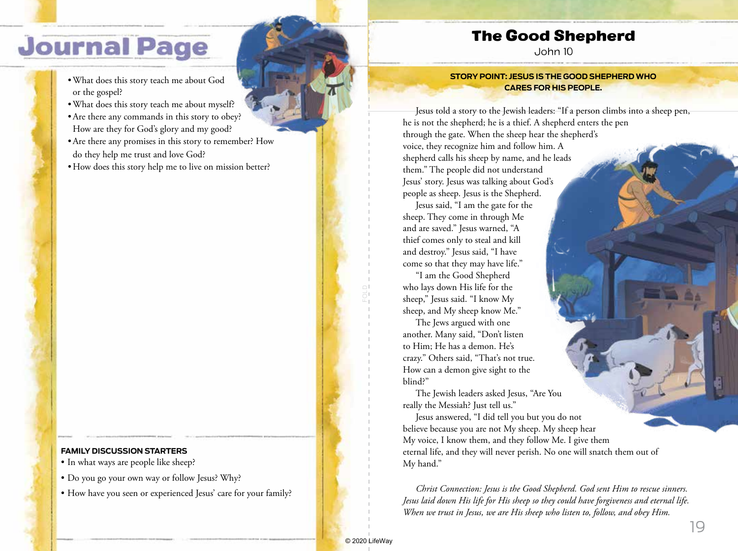# **Journal Page**

- •What does this story teach me about God or the gospel?
- •What does this story teach me about myself?
- •Are there any commands in this story to obey? How are they for God's glory and my good?
- •Are there any promises in this story to remember? How do they help me trust and love God?
- How does this story help me to live on mission better?

#### **FAMILY DISCUSSION STARTERS**

- In what ways are people like sheep?
- Do you go your own way or follow Jesus? Why?
- How have you seen or experienced Jesus' care for your family?

### The Good Shepherd

John 10

#### **STORY POINT: JESUS IS THE GOOD SHEPHERD WHO CARES FOR HIS PEOPLE.**

Jesus told a story to the Jewish leaders: "If a person climbs into a sheep pen, he is not the shepherd; he is a thief. A shepherd enters the pen through the gate. When the sheep hear the shepherd's voice, they recognize him and follow him. A shepherd calls his sheep by name, and he leads them." The people did not understand Jesus' story. Jesus was talking about God's people as sheep. Jesus is the Shepherd.

Jesus said, "I am the gate for the sheep. They come in through Me and are saved." Jesus warned, "A thief comes only to steal and kill and destroy." Jesus said, "I have come so that they may have life."

"I am the Good Shepherd who lays down His life for the sheep," Jesus said. "I know My sheep, and My sheep know Me."

The Jews argued with one another. Many said, "Don't listen to Him; He has a demon. He's crazy." Others said, "That's not true. How can a demon give sight to the blind?"

The Jewish leaders asked Jesus, "Are You really the Messiah? Just tell us."

Jesus answered, "I did tell you but you do not believe because you are not My sheep. My sheep hear My voice, I know them, and they follow Me. I give them eternal life, and they will never perish. No one will snatch them out of My hand."

*Christ Connection: Jesus is the Good Shepherd. God sent Him to rescue sinners. Jesus laid down His life for His sheep so they could have forgiveness and eternal life. When we trust in Jesus, we are His sheep who listen to, follow, and obey Him.*